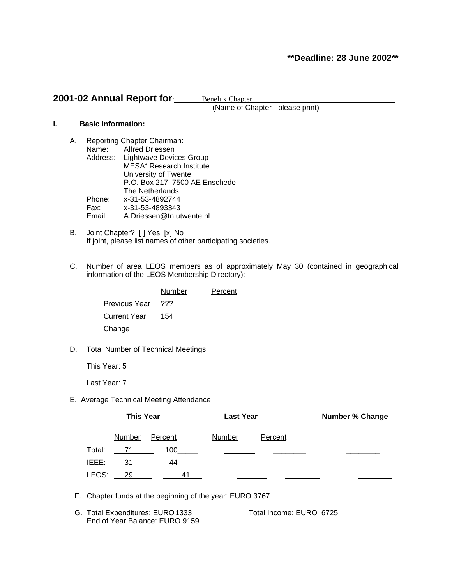# **\*\*Deadline: 28 June 2002\*\***

# **2001-02 Annual Report for:** Benelux Chapter

(Name of Chapter - please print)

## **I. Basic Information:**

- A. Reporting Chapter Chairman: Name: Alfred Driessen Address: Lightwave Devices Group MESA<sup>+</sup> Research Institute University of Twente P.O. Box 217, 7500 AE Enschede The Netherlands Phone: x-31-53-4892744<br>Fax: x-31-53-4893343 Fax: x-31-53-4893343 Email: A.Driessen@tn.utwente.nl
- B. Joint Chapter? [ ] Yes [x] No If joint, please list names of other participating societies.
- C. Number of area LEOS members as of approximately May 30 (contained in geographical information of the LEOS Membership Directory):

|                      | Number | Percent |
|----------------------|--------|---------|
| <b>Previous Year</b> | ???    |         |
| <b>Current Year</b>  | 154    |         |
| Change               |        |         |

D. Total Number of Technical Meetings:

This Year: 5

Last Year: 7

E. Average Technical Meeting Attendance

|        | <b>This Year</b> |         | <b>Last Year</b> |         | <b>Number % Change</b> |  |  |
|--------|------------------|---------|------------------|---------|------------------------|--|--|
|        | <b>Number</b>    | Percent | Number           | Percent |                        |  |  |
| Total: |                  | 100     |                  |         |                        |  |  |
| IEEE:  | - 31             | 44      |                  |         |                        |  |  |
| LEOS:  | - 29             |         |                  |         |                        |  |  |

- F. Chapter funds at the beginning of the year: EURO 3767
- G. Total Expenditures: EURO1333 Total Income: EURO 6725 End of Year Balance: EURO 9159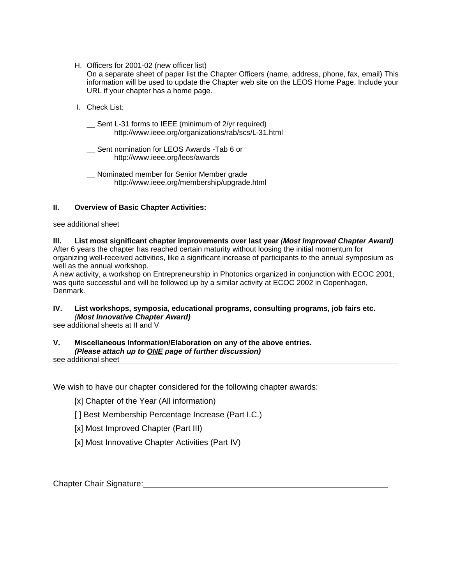H. Officers for 2001-02 (new officer list)

On a separate sheet of paper list the Chapter Officers (name, address, phone, fax, email) This information will be used to update the Chapter web site on the LEOS Home Page. Include your URL if your chapter has a home page.

I. Check List:

Sent L-31 forms to IEEE (minimum of 2/yr required) http://www.ieee.org/organizations/rab/scs/L-31.html

- \_\_ Sent nomination for LEOS Awards -Tab 6 or http://www.ieee.org/leos/awards
- \_\_ Nominated member for Senior Member grade http://www.ieee.org/membership/upgrade.html

## **II. Overview of Basic Chapter Activities:**

see additional sheet

# **III. List most significant chapter improvements over last year** (**Most Improved Chapter Award)**

After 6 years the chapter has reached certain maturity without loosing the initial momentum for organizing well-received activities, like a significant increase of participants to the annual symposium as well as the annual workshop.

A new activity, a workshop on Entrepreneurship in Photonics organized in conjunction with ECOC 2001, was quite successful and will be followed up by a similar activity at ECOC 2002 in Copenhagen, Denmark.

# **IV. List workshops, symposia, educational programs, consulting programs, job fairs etc.** (**Most Innovative Chapter Award)**

see additional sheets at II and V

## **V. Miscellaneous Information/Elaboration on any of the above entries. (Please attach up to ONE page of further discussion)**

see additional sheet

We wish to have our chapter considered for the following chapter awards:

[x] Chapter of the Year (All information)

- [] Best Membership Percentage Increase (Part I.C.)
- [x] Most Improved Chapter (Part III)
- [x] Most Innovative Chapter Activities (Part IV)

Chapter Chair Signature: **Chapter Chair Signature: Chapter Chair Signature: Chapter Chair Signature:**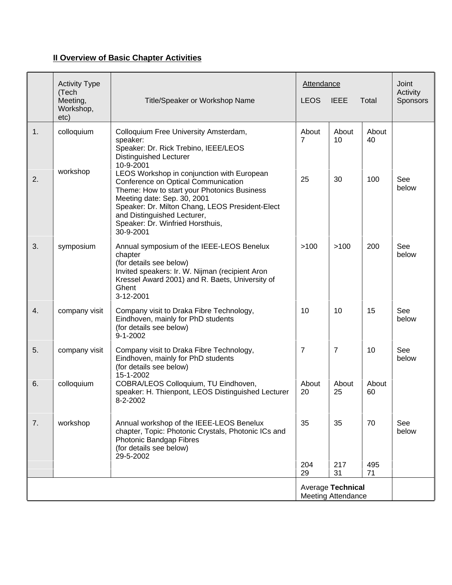# **II Overview of Basic Chapter Activities**

| (Tech<br>etc) | <b>Activity Type</b><br>Meeting,<br>Workshop, | Title/Speaker or Workshop Name                                                                                                                                                                                                                                                                     | <b>Attendance</b><br><b>LEOS</b><br><b>IEEE</b><br>Total |                | Joint<br>Activity<br>Sponsors |              |
|---------------|-----------------------------------------------|----------------------------------------------------------------------------------------------------------------------------------------------------------------------------------------------------------------------------------------------------------------------------------------------------|----------------------------------------------------------|----------------|-------------------------------|--------------|
| 1.            | colloquium                                    | Colloquium Free University Amsterdam,<br>speaker:<br>Speaker: Dr. Rick Trebino, IEEE/LEOS<br><b>Distinguished Lecturer</b><br>10-9-2001                                                                                                                                                            | About<br>$\overline{7}$                                  | About<br>10    | About<br>40                   |              |
| 2.            | workshop                                      | LEOS Workshop in conjunction with European<br>Conference on Optical Communication<br>Theme: How to start your Photonics Business<br>Meeting date: Sep. 30, 2001<br>Speaker: Dr. Milton Chang, LEOS President-Elect<br>and Distinguished Lecturer,<br>Speaker: Dr. Winfried Horsthuis,<br>30-9-2001 | 25                                                       | 30             | 100                           | See<br>below |
| 3.            | symposium                                     | Annual symposium of the IEEE-LEOS Benelux<br>chapter<br>(for details see below)<br>Invited speakers: Ir. W. Nijman (recipient Aron<br>Kressel Award 2001) and R. Baets, University of<br>Ghent<br>3-12-2001                                                                                        | >100                                                     | >100           | 200                           | See<br>below |
| 4.            | company visit                                 | Company visit to Draka Fibre Technology,<br>Eindhoven, mainly for PhD students<br>(for details see below)<br>$9 - 1 - 2002$                                                                                                                                                                        | 10                                                       | 10             | 15                            | See<br>below |
| 5.            | company visit                                 | Company visit to Draka Fibre Technology,<br>Eindhoven, mainly for PhD students<br>(for details see below)<br>15-1-2002                                                                                                                                                                             | $\overline{7}$                                           | $\overline{7}$ | 10                            | See<br>below |
| 6.            | colloquium                                    | COBRA/LEOS Colloquium, TU Eindhoven,<br>speaker: H. Thienpont, LEOS Distinguished Lecturer<br>8-2-2002                                                                                                                                                                                             | About<br>20                                              | About<br>25    | About<br>60                   |              |
| 7.            | workshop                                      | Annual workshop of the IEEE-LEOS Benelux<br>chapter, Topic: Photonic Crystals, Photonic ICs and<br>Photonic Bandgap Fibres<br>(for details see below)<br>29-5-2002                                                                                                                                 | 35                                                       | 35             | 70                            | See<br>below |
|               |                                               |                                                                                                                                                                                                                                                                                                    | 204<br>29                                                | 217<br>31      | 495<br>71                     |              |
|               |                                               |                                                                                                                                                                                                                                                                                                    | <b>Average Technical</b><br>Meeting Attendance           |                |                               |              |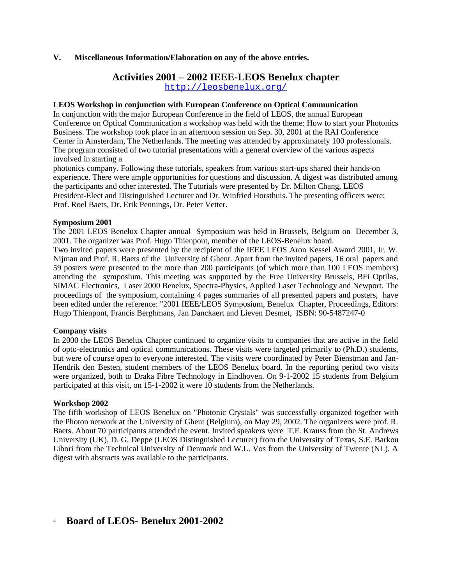## **V. Miscellaneous Information/Elaboration on any of the above entries.**

# **Activities 2001 – 2002 IEEE-LEOS Benelux chapter**

http://leosbenelux.org/

### **LEOS Workshop in conjunction with European Conference on Optical Communication**

In conjunction with the major European Conference in the field of LEOS, the annual European Conference on Optical Communication a workshop was held with the theme: How to start your Photonics Business. The workshop took place in an afternoon session on Sep. 30, 2001 at the RAI Conference Center in Amsterdam, The Netherlands. The meeting was attended by approximately 100 professionals. The program consisted of two tutorial presentations with a general overview of the various aspects involved in starting a

photonics company. Following these tutorials, speakers from various start-ups shared their hands-on experience. There were ample opportunities for questions and discussion. A digest was distributed among the participants and other interested. The Tutorials were presented by Dr. Milton Chang, LEOS President-Elect and Distinguished Lecturer and Dr. Winfried Horsthuis. The presenting officers were: Prof. Roel Baets, Dr. Erik Pennings, Dr. Peter Vetter.

### **Symposium 2001**

The 2001 LEOS Benelux Chapter annual Symposium was held in Brussels, Belgium on December 3, 2001. The organizer was Prof. Hugo Thienpont, member of the LEOS-Benelux board.

Two invited papers were presented by the recipient of the IEEE LEOS Aron Kessel Award 2001, Ir. W. Nijman and Prof. R. Baets of the University of Ghent. Apart from the invited papers, 16 oral papers and 59 posters were presented to the more than 200 participants (of which more than 100 LEOS members) attending the symposium. This meeting was supported by the Free University Brussels, BFi Optilas, SIMAC Electronics, Laser 2000 Benelux, Spectra-Physics, Applied Laser Technology and Newport. The proceedings of the symposium, containing 4 pages summaries of all presented papers and posters, have been edited under the reference: "2001 IEEE/LEOS Symposium, Benelux Chapter, Proceedings, Editors: Hugo Thienpont, Francis Berghmans, Jan Danckaert and Lieven Desmet, ISBN: 90-5487247-0

# **Company visits**

In 2000 the LEOS Benelux Chapter continued to organize visits to companies that are active in the field of opto-electronics and optical communications. These visits were targeted primarily to (Ph.D.) students, but were of course open to everyone interested. The visits were coordinated by Peter Bienstman and Jan-Hendrik den Besten, student members of the LEOS Benelux board. In the reporting period two visits were organized, both to Draka Fibre Technology in Eindhoven. On 9-1-2002 15 students from Belgium participated at this visit, on 15-1-2002 it were 10 students from the Netherlands.

# **Workshop 2002**

The fifth workshop of LEOS Benelux on "Photonic Crystals" was successfully organized together with the Photon network at the University of Ghent (Belgium), on May 29, 2002. The organizers were prof. R. Baets. About 70 participants attended the event. Invited speakers were T.F. Krauss from the St. Andrews University (UK), D. G. Deppe (LEOS Distinguished Lecturer) from the University of Texas, S.E. Barkou Libori from the Technical University of Denmark and W.L. Vos from the University of Twente (NL). A digest with abstracts was available to the participants.

# **Board of LEOS- Benelux 2001-2002**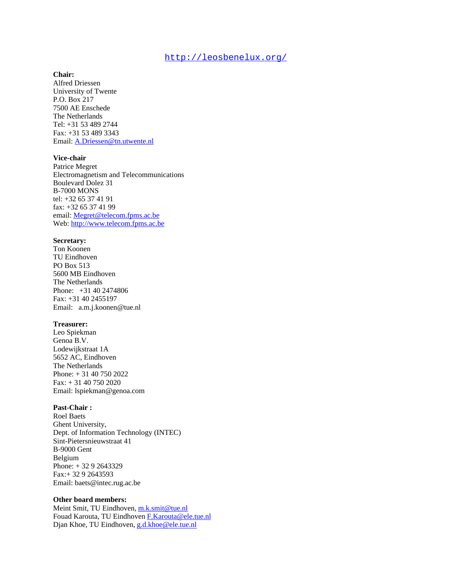## http://leosbenelux.org/

#### **Chair:**

Alfred Driessen University of Twente P.O. Box 217 7500 AE Enschede The Netherlands Tel: +31 53 489 2744 Fax: +31 53 489 3343 Email: A.Driessen@tn.utwente.nl

#### **Vice-chair**

Patrice Megret Electromagnetism and Telecommunications Boulevard Dolez 31 B-7000 MONS tel: +32 65 37 41 91 fax: +32 65 37 41 99 email: Megret@telecom.fpms.ac.be Web: http://www.telecom.fpms.ac.be

#### **Secretary:**

Ton Koonen TU Eindhoven PO Box 513 5600 MB Eindhoven The Netherlands Phone: +31 40 2474806 Fax: +31 40 2455197 Email: a.m.j.koonen@tue.nl

#### **Treasurer:**

Leo Spiekman Genoa B.V. Lodewijkstraat 1A 5652 AC, Eindhoven The Netherlands Phone: + 31 40 750 2022 Fax: + 31 40 750 2020 Email: lspiekman@genoa.com

#### **Past-Chair :**

Roel Baets Ghent University, Dept. of Information Technology (INTEC) Sint-Pietersnieuwstraat 41 B-9000 Gent Belgium Phone: + 32 9 2643329 Fax:+ 32 9 2643593 Email: baets@intec.rug.ac.be

#### **Other board members:**

Meint Smit, TU Eindhoven, m.k.smit@tue.nl Fouad Karouta, TU Eindhoven F.Karouta@ele.tue.nl Djan Khoe, TU Eindhoven, g.d.khoe@ele.tue.nl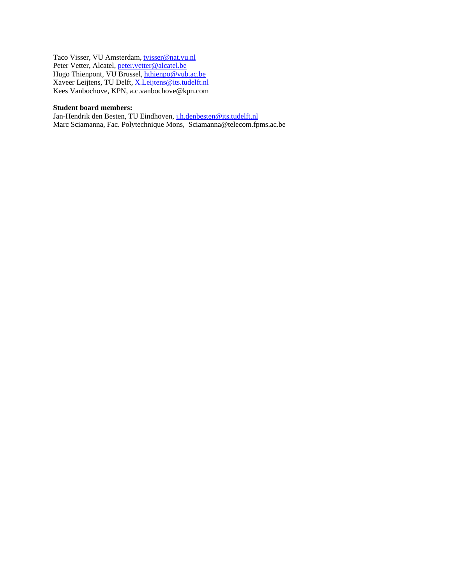Taco Visser, VU Amsterdam, tvisser@nat.vu.nl Peter Vetter, Alcatel, peter.vetter@alcatel.be Hugo Thienpont, VU Brussel, *hthienpo@vub.ac.be* Xaveer Leijtens, TU Delft, X.Leijtens@its.tudelft.nl Kees Vanbochove, KPN, a.c.vanbochove@kpn.com

#### **Student board members:**

Jan-Hendrik den Besten, TU Eindhoven, j.h.denbesten@its.tudelft.nl Marc Sciamanna, Fac. Polytechnique Mons, Sciamanna@telecom.fpms.ac.be